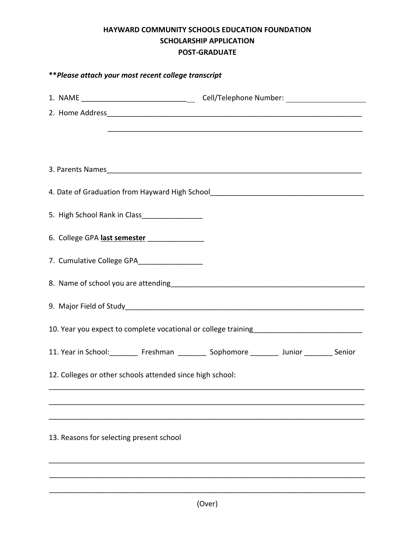## **HAYWARD COMMUNITY SCHOOLS EDUCATION FOUNDATION SCHOLARSHIP APPLICATION POST-GRADUATE**

| ** Please attach your most recent college transcript                                    |  |  |
|-----------------------------------------------------------------------------------------|--|--|
|                                                                                         |  |  |
|                                                                                         |  |  |
|                                                                                         |  |  |
|                                                                                         |  |  |
|                                                                                         |  |  |
| 5. High School Rank in Class__________________                                          |  |  |
| 6. College GPA last semester ________________                                           |  |  |
| 7. Cumulative College GPA_________________                                              |  |  |
|                                                                                         |  |  |
|                                                                                         |  |  |
|                                                                                         |  |  |
| 11. Year in School: Freshman ____________ Sophomore ___________ Junior _________ Senior |  |  |
| 12. Colleges or other schools attended since high school:                               |  |  |
|                                                                                         |  |  |
|                                                                                         |  |  |
| 13. Reasons for selecting present school                                                |  |  |
|                                                                                         |  |  |

\_\_\_\_\_\_\_\_\_\_\_\_\_\_\_\_\_\_\_\_\_\_\_\_\_\_\_\_\_\_\_\_\_\_\_\_\_\_\_\_\_\_\_\_\_\_\_\_\_\_\_\_\_\_\_\_\_\_\_\_\_\_\_\_\_\_\_\_\_\_\_\_\_\_\_\_\_\_